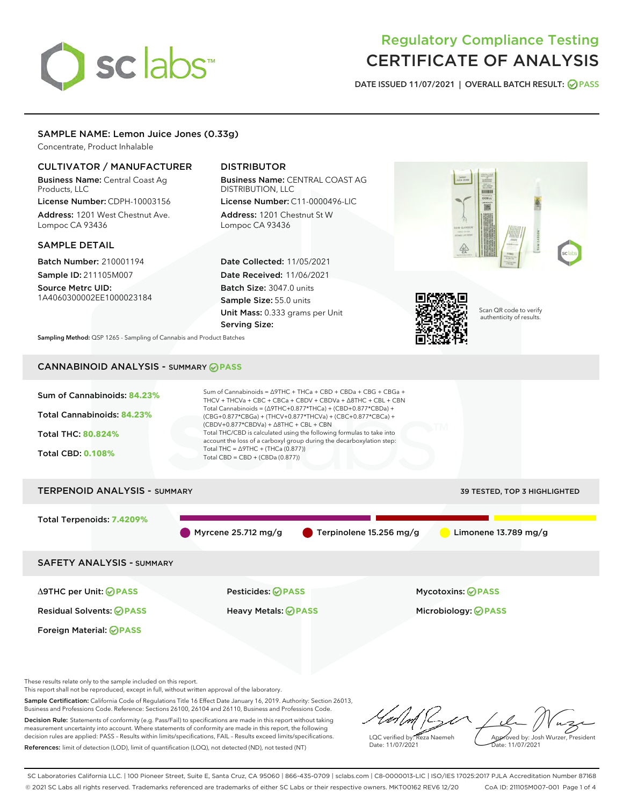# sclabs<sup>\*</sup>

### Regulatory Compliance Testing CERTIFICATE OF ANALYSIS

DATE ISSUED 11/07/2021 | OVERALL BATCH RESULT: @ PASS

#### SAMPLE NAME: Lemon Juice Jones (0.33g)

Concentrate, Product Inhalable

#### CULTIVATOR / MANUFACTURER

Business Name: Central Coast Ag Products, LLC

License Number: CDPH-10003156 Address: 1201 West Chestnut Ave. Lompoc CA 93436

#### SAMPLE DETAIL

Batch Number: 210001194 Sample ID: 211105M007

Source Metrc UID: 1A4060300002EE1000023184

#### DISTRIBUTOR

Business Name: CENTRAL COAST AG DISTRIBUTION, LLC

License Number: C11-0000496-LIC Address: 1201 Chestnut St W Lompoc CA 93436

Date Collected: 11/05/2021 Date Received: 11/06/2021 Batch Size: 3047.0 units Sample Size: 55.0 units Unit Mass: 0.333 grams per Unit Serving Size:





Scan QR code to verify authenticity of results.

Sampling Method: QSP 1265 - Sampling of Cannabis and Product Batches

#### CANNABINOID ANALYSIS - SUMMARY **PASS**

Sum of Cannabinoids: **84.23%** Total Cannabinoids: **84.23%** Total THC: **80.824%** Total CBD: **0.108%** Sum of Cannabinoids = ∆9THC + THCa + CBD + CBDa + CBG + CBGa + THCV + THCVa + CBC + CBCa + CBDV + CBDVa + ∆8THC + CBL + CBN Total Cannabinoids = (∆9THC+0.877\*THCa) + (CBD+0.877\*CBDa) + (CBG+0.877\*CBGa) + (THCV+0.877\*THCVa) + (CBC+0.877\*CBCa) + (CBDV+0.877\*CBDVa) + ∆8THC + CBL + CBN Total THC/CBD is calculated using the following formulas to take into account the loss of a carboxyl group during the decarboxylation step: Total THC =  $\triangle$ 9THC + (THCa (0.877)) Total CBD = CBD + (CBDa (0.877)) TERPENOID ANALYSIS - SUMMARY 39 TESTED, TOP 3 HIGHLIGHTED

## Total Terpenoids: **7.4209%** Myrcene 25.712 mg/g **C** Terpinolene 15.256 mg/g Limonene 13.789 mg/g SAFETY ANALYSIS - SUMMARY Δ9THC per Unit: **PASS** Pesticides: **PASS** Mycotoxins: **PASS**

Foreign Material: **PASS**

Residual Solvents: **PASS** Heavy Metals: **PASS** Microbiology: **PASS**

These results relate only to the sample included on this report.

This report shall not be reproduced, except in full, without written approval of the laboratory.

Sample Certification: California Code of Regulations Title 16 Effect Date January 16, 2019. Authority: Section 26013, Business and Professions Code. Reference: Sections 26100, 26104 and 26110, Business and Professions Code. Decision Rule: Statements of conformity (e.g. Pass/Fail) to specifications are made in this report without taking

measurement uncertainty into account. Where statements of conformity are made in this report, the following decision rules are applied: PASS – Results within limits/specifications, FAIL – Results exceed limits/specifications. References: limit of detection (LOD), limit of quantification (LOQ), not detected (ND), not tested (NT)

LQC verified by: Reza Naemeh Date: 11/07/2021 Approved by: Josh Wurzer, President Date: 11/07/2021

SC Laboratories California LLC. | 100 Pioneer Street, Suite E, Santa Cruz, CA 95060 | 866-435-0709 | sclabs.com | C8-0000013-LIC | ISO/IES 17025:2017 PJLA Accreditation Number 87168 © 2021 SC Labs all rights reserved. Trademarks referenced are trademarks of either SC Labs or their respective owners. MKT00162 REV6 12/20 CoA ID: 211105M007-001 Page 1 of 4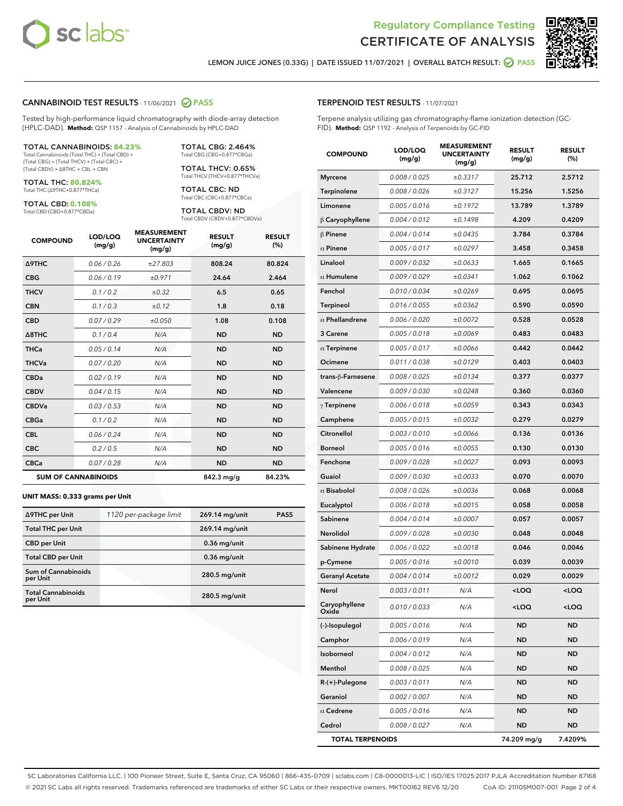



LEMON JUICE JONES (0.33G) | DATE ISSUED 11/07/2021 | OVERALL BATCH RESULT: ● PASS

#### CANNABINOID TEST RESULTS - 11/06/2021 2 PASS

Tested by high-performance liquid chromatography with diode-array detection (HPLC-DAD). **Method:** QSP 1157 - Analysis of Cannabinoids by HPLC-DAD

#### TOTAL CANNABINOIDS: **84.23%**

Total Cannabinoids (Total THC) + (Total CBD) + (Total CBG) + (Total THCV) + (Total CBC) + (Total CBDV) + ∆8THC + CBL + CBN

TOTAL THC: **80.824%** Total THC (∆9THC+0.877\*THCa)

TOTAL CBD: **0.108%** Total CBD (CBD+0.877\*CBDa)

TOTAL CBG: 2.464% Total CBG (CBG+0.877\*CBGa)

TOTAL THCV: 0.65% Total THCV (THCV+0.877\*THCVa)

TOTAL CBC: ND Total CBC (CBC+0.877\*CBCa)

TOTAL CBDV: ND Total CBDV (CBDV+0.877\*CBDVa)

| <b>COMPOUND</b>  | LOD/LOQ<br>(mg/g)          | <b>MEASUREMENT</b><br><b>UNCERTAINTY</b><br>(mg/g) | <b>RESULT</b><br>(mg/g) | <b>RESULT</b><br>(%) |
|------------------|----------------------------|----------------------------------------------------|-------------------------|----------------------|
| <b>A9THC</b>     | 0.06/0.26                  | ±27.803                                            | 808.24                  | 80.824               |
| <b>CBG</b>       | 0.06/0.19                  | ±0.971                                             | 24.64                   | 2.464                |
| <b>THCV</b>      | 0.1 / 0.2                  | $\pm 0.32$                                         | 6.5                     | 0.65                 |
| <b>CBN</b>       | 0.1/0.3                    | ±0.12                                              | 1.8                     | 0.18                 |
| <b>CBD</b>       | 0.07/0.29                  | ±0.050                                             | 1.08                    | 0.108                |
| $\triangle$ 8THC | 0.1/0.4                    | N/A                                                | <b>ND</b>               | <b>ND</b>            |
| <b>THCa</b>      | 0.05/0.14                  | N/A                                                | <b>ND</b>               | <b>ND</b>            |
| <b>THCVa</b>     | 0.07 / 0.20                | N/A                                                | <b>ND</b>               | <b>ND</b>            |
| <b>CBDa</b>      | 0.02/0.19                  | N/A                                                | <b>ND</b>               | <b>ND</b>            |
| <b>CBDV</b>      | 0.04 / 0.15                | N/A                                                | <b>ND</b>               | <b>ND</b>            |
| <b>CBDVa</b>     | 0.03/0.53                  | N/A                                                | <b>ND</b>               | <b>ND</b>            |
| <b>CBGa</b>      | 0.1/0.2                    | N/A                                                | <b>ND</b>               | <b>ND</b>            |
| <b>CBL</b>       | 0.06 / 0.24                | N/A                                                | <b>ND</b>               | <b>ND</b>            |
| <b>CBC</b>       | 0.2 / 0.5                  | N/A                                                | <b>ND</b>               | <b>ND</b>            |
| <b>CBCa</b>      | 0.07/0.28                  | N/A                                                | <b>ND</b>               | <b>ND</b>            |
|                  | <b>SUM OF CANNABINOIDS</b> |                                                    | 842.3 mg/g              | 84.23%               |

#### **UNIT MASS: 0.333 grams per Unit**

| ∆9THC per Unit                         | 1120 per-package limit | 269.14 mg/unit  | <b>PASS</b> |
|----------------------------------------|------------------------|-----------------|-------------|
| <b>Total THC per Unit</b>              |                        | 269.14 mg/unit  |             |
| <b>CBD</b> per Unit                    |                        | $0.36$ mg/unit  |             |
| <b>Total CBD per Unit</b>              |                        | $0.36$ mg/unit  |             |
| <b>Sum of Cannabinoids</b><br>per Unit |                        | 280.5 mg/unit   |             |
| <b>Total Cannabinoids</b><br>per Unit  |                        | $280.5$ mg/unit |             |

#### TERPENOID TEST RESULTS - 11/07/2021

Terpene analysis utilizing gas chromatography-flame ionization detection (GC-FID). **Method:** QSP 1192 - Analysis of Terpenoids by GC-FID

| <b>COMPOUND</b>         | LOD/LOQ<br>(mg/g) | <b>MEASUREMENT</b><br><b>UNCERTAINTY</b><br>(mg/g) | <b>RESULT</b><br>(mg/g)                         | <b>RESULT</b><br>(%) |
|-------------------------|-------------------|----------------------------------------------------|-------------------------------------------------|----------------------|
| <b>Myrcene</b>          | 0.008 / 0.025     | ±0.3317                                            | 25.712                                          | 2.5712               |
| Terpinolene             | 0.008 / 0.026     | ±0.3127                                            | 15.256                                          | 1.5256               |
| Limonene                | 0.005 / 0.016     | ±0.1972                                            | 13.789                                          | 1.3789               |
| $\beta$ Caryophyllene   | 0.004 / 0.012     | ±0.1498                                            | 4.209                                           | 0.4209               |
| $\beta$ Pinene          | 0.004 / 0.014     | ±0.0435                                            | 3.784                                           | 0.3784               |
| $\alpha$ Pinene         | 0.005 / 0.017     | ±0.0297                                            | 3.458                                           | 0.3458               |
| Linalool                | 0.009 / 0.032     | ±0.0633                                            | 1.665                                           | 0.1665               |
| $\alpha$ Humulene       | 0.009/0.029       | ±0.0341                                            | 1.062                                           | 0.1062               |
| Fenchol                 | 0.010 / 0.034     | ±0.0269                                            | 0.695                                           | 0.0695               |
| <b>Terpineol</b>        | 0.016 / 0.055     | ±0.0362                                            | 0.590                                           | 0.0590               |
| $\alpha$ Phellandrene   | 0.006 / 0.020     | ±0.0072                                            | 0.528                                           | 0.0528               |
| 3 Carene                | 0.005 / 0.018     | ±0.0069                                            | 0.483                                           | 0.0483               |
| $\alpha$ Terpinene      | 0.005 / 0.017     | ±0.0066                                            | 0.442                                           | 0.0442               |
| Ocimene                 | 0.011 / 0.038     | ±0.0129                                            | 0.403                                           | 0.0403               |
| trans-ß-Farnesene       | 0.008 / 0.025     | ±0.0134                                            | 0.377                                           | 0.0377               |
| Valencene               | 0.009 / 0.030     | ±0.0248                                            | 0.360                                           | 0.0360               |
| $\gamma$ Terpinene      | 0.006 / 0.018     | ±0.0059                                            | 0.343                                           | 0.0343               |
| Camphene                | 0.005 / 0.015     | ±0.0032                                            | 0.279                                           | 0.0279               |
| Citronellol             | 0.003 / 0.010     | ±0.0066                                            | 0.136                                           | 0.0136               |
| <b>Borneol</b>          | 0.005 / 0.016     | ±0.0055                                            | 0.130                                           | 0.0130               |
| Fenchone                | 0.009 / 0.028     | ±0.0027                                            | 0.093                                           | 0.0093               |
| Guaiol                  | 0.009 / 0.030     | ±0.0033                                            | 0.070                                           | 0.0070               |
| $\alpha$ Bisabolol      | 0.008 / 0.026     | ±0.0036                                            | 0.068                                           | 0.0068               |
| Eucalyptol              | 0.006 / 0.018     | ±0.0015                                            | 0.058                                           | 0.0058               |
| Sabinene                | 0.004 / 0.014     | ±0.0007                                            | 0.057                                           | 0.0057               |
| Nerolidol               | 0.009 / 0.028     | ±0.0030                                            | 0.048                                           | 0.0048               |
| Sabinene Hydrate        | 0.006 / 0.022     | ±0.0018                                            | 0.046                                           | 0.0046               |
| p-Cymene                | 0.005 / 0.016     | ±0.0010                                            | 0.039                                           | 0.0039               |
| <b>Geranyl Acetate</b>  | 0.004 / 0.014     | ±0.0012                                            | 0.029                                           | 0.0029               |
| Nerol                   | 0.003 / 0.011     | N/A                                                | <loq< th=""><th><loq< th=""></loq<></th></loq<> | <loq< th=""></loq<>  |
| Caryophyllene<br>Oxide  | 0.010 / 0.033     | N/A                                                | 100                                             | <loq< th=""></loq<>  |
| (-)-Isopulegol          | 0.005 / 0.016     | N/A                                                | ND                                              | ND                   |
| Camphor                 | 0.006 / 0.019     | N/A                                                | ND                                              | ND                   |
| Isoborneol              | 0.004 / 0.012     | N/A                                                | ND                                              | ND                   |
| Menthol                 | 0.008 / 0.025     | N/A                                                | ND                                              | ND                   |
| R-(+)-Pulegone          | 0.003 / 0.011     | N/A                                                | ND                                              | ND                   |
| Geraniol                | 0.002 / 0.007     | N/A                                                | ND                                              | ND                   |
| $\alpha$ Cedrene        | 0.005 / 0.016     | N/A                                                | ND                                              | ND                   |
| Cedrol                  | 0.008 / 0.027     | N/A                                                | ND                                              | ND                   |
| <b>TOTAL TERPENOIDS</b> |                   |                                                    | 74.209 mg/g                                     | 7.4209%              |

SC Laboratories California LLC. | 100 Pioneer Street, Suite E, Santa Cruz, CA 95060 | 866-435-0709 | sclabs.com | C8-0000013-LIC | ISO/IES 17025:2017 PJLA Accreditation Number 87168 © 2021 SC Labs all rights reserved. Trademarks referenced are trademarks of either SC Labs or their respective owners. MKT00162 REV6 12/20 CoA ID: 211105M007-001 Page 2 of 4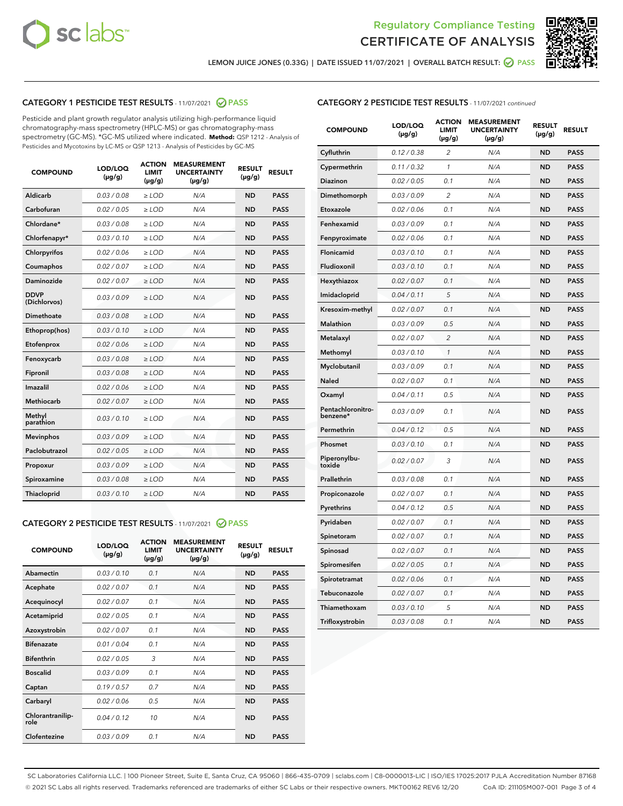



LEMON JUICE JONES (0.33G) | DATE ISSUED 11/07/2021 | OVERALL BATCH RESULT: <mark>⊘</mark> PASS

#### CATEGORY 1 PESTICIDE TEST RESULTS - 11/07/2021 2 PASS

Pesticide and plant growth regulator analysis utilizing high-performance liquid chromatography-mass spectrometry (HPLC-MS) or gas chromatography-mass spectrometry (GC-MS). \*GC-MS utilized where indicated. **Method:** QSP 1212 - Analysis of Pesticides and Mycotoxins by LC-MS or QSP 1213 - Analysis of Pesticides by GC-MS

| <b>COMPOUND</b>             | LOD/LOQ<br>$(\mu g/g)$ | <b>ACTION</b><br><b>LIMIT</b><br>$(\mu g/g)$ | <b>MEASUREMENT</b><br><b>UNCERTAINTY</b><br>$(\mu g/g)$ | <b>RESULT</b><br>$(\mu g/g)$ | <b>RESULT</b> |
|-----------------------------|------------------------|----------------------------------------------|---------------------------------------------------------|------------------------------|---------------|
| Aldicarb                    | 0.03 / 0.08            | $\ge$ LOD                                    | N/A                                                     | <b>ND</b>                    | <b>PASS</b>   |
| Carbofuran                  | 0.02/0.05              | $>$ LOD                                      | N/A                                                     | <b>ND</b>                    | <b>PASS</b>   |
| Chlordane*                  | 0.03 / 0.08            | $\ge$ LOD                                    | N/A                                                     | <b>ND</b>                    | <b>PASS</b>   |
| Chlorfenapyr*               | 0.03/0.10              | $>$ LOD                                      | N/A                                                     | <b>ND</b>                    | <b>PASS</b>   |
| Chlorpyrifos                | 0.02 / 0.06            | $\geq$ LOD                                   | N/A                                                     | <b>ND</b>                    | <b>PASS</b>   |
| Coumaphos                   | 0.02 / 0.07            | $\ge$ LOD                                    | N/A                                                     | <b>ND</b>                    | <b>PASS</b>   |
| Daminozide                  | 0.02 / 0.07            | $\ge$ LOD                                    | N/A                                                     | <b>ND</b>                    | <b>PASS</b>   |
| <b>DDVP</b><br>(Dichlorvos) | 0.03/0.09              | $\ge$ LOD                                    | N/A                                                     | <b>ND</b>                    | <b>PASS</b>   |
| Dimethoate                  | 0.03/0.08              | $>$ LOD                                      | N/A                                                     | <b>ND</b>                    | <b>PASS</b>   |
| Ethoprop(hos)               | 0.03/0.10              | $\ge$ LOD                                    | N/A                                                     | <b>ND</b>                    | <b>PASS</b>   |
| Etofenprox                  | 0.02 / 0.06            | $\ge$ LOD                                    | N/A                                                     | <b>ND</b>                    | <b>PASS</b>   |
| Fenoxycarb                  | 0.03 / 0.08            | $\ge$ LOD                                    | N/A                                                     | <b>ND</b>                    | <b>PASS</b>   |
| Fipronil                    | 0.03/0.08              | $>$ LOD                                      | N/A                                                     | <b>ND</b>                    | <b>PASS</b>   |
| Imazalil                    | 0.02 / 0.06            | $\ge$ LOD                                    | N/A                                                     | <b>ND</b>                    | <b>PASS</b>   |
| Methiocarb                  | 0.02 / 0.07            | $\ge$ LOD                                    | N/A                                                     | <b>ND</b>                    | <b>PASS</b>   |
| Methyl<br>parathion         | 0.03/0.10              | $\ge$ LOD                                    | N/A                                                     | <b>ND</b>                    | <b>PASS</b>   |
| <b>Mevinphos</b>            | 0.03/0.09              | $>$ LOD                                      | N/A                                                     | <b>ND</b>                    | <b>PASS</b>   |
| Paclobutrazol               | 0.02 / 0.05            | $\ge$ LOD                                    | N/A                                                     | <b>ND</b>                    | <b>PASS</b>   |
| Propoxur                    | 0.03/0.09              | $\ge$ LOD                                    | N/A                                                     | <b>ND</b>                    | <b>PASS</b>   |
| Spiroxamine                 | 0.03 / 0.08            | $\ge$ LOD                                    | N/A                                                     | <b>ND</b>                    | <b>PASS</b>   |
| Thiacloprid                 | 0.03/0.10              | $\ge$ LOD                                    | N/A                                                     | <b>ND</b>                    | <b>PASS</b>   |

#### CATEGORY 2 PESTICIDE TEST RESULTS - 11/07/2021 @ PASS

| <b>COMPOUND</b>          | LOD/LOO<br>$(\mu g/g)$ | <b>ACTION</b><br>LIMIT<br>$(\mu g/g)$ | <b>MEASUREMENT</b><br><b>UNCERTAINTY</b><br>$(\mu g/g)$ | <b>RESULT</b><br>$(\mu g/g)$ | <b>RESULT</b> |  |
|--------------------------|------------------------|---------------------------------------|---------------------------------------------------------|------------------------------|---------------|--|
| Abamectin                | 0.03/0.10              | 0.1                                   | N/A                                                     | <b>ND</b>                    | <b>PASS</b>   |  |
| Acephate                 | 0.02/0.07              | 0.1                                   | N/A                                                     | <b>ND</b>                    | <b>PASS</b>   |  |
| Acequinocyl              | 0.02/0.07              | 0.1                                   | N/A                                                     | <b>ND</b>                    | <b>PASS</b>   |  |
| Acetamiprid              | 0.02 / 0.05            | 0.1                                   | N/A                                                     | <b>ND</b>                    | <b>PASS</b>   |  |
| Azoxystrobin             | 0.02/0.07              | 0.1                                   | N/A                                                     | <b>ND</b>                    | <b>PASS</b>   |  |
| <b>Bifenazate</b>        | 0.01 / 0.04            | 0.1                                   | N/A                                                     | <b>ND</b>                    | <b>PASS</b>   |  |
| <b>Bifenthrin</b>        | 0.02 / 0.05            | 3                                     | N/A                                                     | <b>ND</b>                    | <b>PASS</b>   |  |
| <b>Boscalid</b>          | 0.03/0.09              | 0.1                                   | N/A                                                     | <b>ND</b>                    | <b>PASS</b>   |  |
| Captan                   | 0.19/0.57              | 0.7                                   | N/A                                                     | <b>ND</b>                    | <b>PASS</b>   |  |
| Carbaryl                 | 0.02/0.06              | 0.5                                   | N/A                                                     | <b>ND</b>                    | <b>PASS</b>   |  |
| Chlorantranilip-<br>role | 0.04/0.12              | 10                                    | N/A                                                     | <b>ND</b>                    | <b>PASS</b>   |  |
| Clofentezine             | 0.03/0.09              | 0.1                                   | N/A                                                     | <b>ND</b>                    | <b>PASS</b>   |  |

#### CATEGORY 2 PESTICIDE TEST RESULTS - 11/07/2021 continued

| <b>COMPOUND</b>               | LOD/LOQ<br>(µg/g) | <b>ACTION</b><br><b>LIMIT</b><br>$(\mu g/g)$ | <b>MEASUREMENT</b><br><b>UNCERTAINTY</b><br>$(\mu g/g)$ | <b>RESULT</b><br>(µg/g) | <b>RESULT</b> |
|-------------------------------|-------------------|----------------------------------------------|---------------------------------------------------------|-------------------------|---------------|
| Cyfluthrin                    | 0.12 / 0.38       | $\overline{c}$                               | N/A                                                     | <b>ND</b>               | <b>PASS</b>   |
| Cypermethrin                  | 0.11 / 0.32       | 1                                            | N/A                                                     | ND                      | <b>PASS</b>   |
| <b>Diazinon</b>               | 0.02 / 0.05       | 0.1                                          | N/A                                                     | ND                      | <b>PASS</b>   |
| Dimethomorph                  | 0.03 / 0.09       | 2                                            | N/A                                                     | ND                      | <b>PASS</b>   |
| Etoxazole                     | 0.02 / 0.06       | 0.1                                          | N/A                                                     | ND                      | <b>PASS</b>   |
| Fenhexamid                    | 0.03 / 0.09       | 0.1                                          | N/A                                                     | <b>ND</b>               | <b>PASS</b>   |
| Fenpyroximate                 | 0.02 / 0.06       | 0.1                                          | N/A                                                     | ND                      | <b>PASS</b>   |
| Flonicamid                    | 0.03 / 0.10       | 0.1                                          | N/A                                                     | ND                      | <b>PASS</b>   |
| Fludioxonil                   | 0.03 / 0.10       | 0.1                                          | N/A                                                     | <b>ND</b>               | <b>PASS</b>   |
| Hexythiazox                   | 0.02 / 0.07       | 0.1                                          | N/A                                                     | <b>ND</b>               | <b>PASS</b>   |
| Imidacloprid                  | 0.04 / 0.11       | 5                                            | N/A                                                     | ND                      | <b>PASS</b>   |
| Kresoxim-methyl               | 0.02 / 0.07       | 0.1                                          | N/A                                                     | <b>ND</b>               | <b>PASS</b>   |
| <b>Malathion</b>              | 0.03 / 0.09       | 0.5                                          | N/A                                                     | <b>ND</b>               | <b>PASS</b>   |
| Metalaxyl                     | 0.02 / 0.07       | $\overline{c}$                               | N/A                                                     | ND                      | <b>PASS</b>   |
| Methomyl                      | 0.03 / 0.10       | 1                                            | N/A                                                     | <b>ND</b>               | <b>PASS</b>   |
| Myclobutanil                  | 0.03 / 0.09       | 0.1                                          | N/A                                                     | ND                      | <b>PASS</b>   |
| Naled                         | 0.02 / 0.07       | 0.1                                          | N/A                                                     | ND                      | <b>PASS</b>   |
| Oxamyl                        | 0.04 / 0.11       | 0.5                                          | N/A                                                     | ND                      | <b>PASS</b>   |
| Pentachloronitro-<br>benzene* | 0.03 / 0.09       | 0.1                                          | N/A                                                     | ND                      | <b>PASS</b>   |
| Permethrin                    | 0.04 / 0.12       | 0.5                                          | N/A                                                     | ND                      | <b>PASS</b>   |
| Phosmet                       | 0.03 / 0.10       | 0.1                                          | N/A                                                     | <b>ND</b>               | <b>PASS</b>   |
| Piperonylbu-<br>toxide        | 0.02 / 0.07       | 3                                            | N/A                                                     | ND                      | <b>PASS</b>   |
| Prallethrin                   | 0.03 / 0.08       | 0.1                                          | N/A                                                     | <b>ND</b>               | <b>PASS</b>   |
| Propiconazole                 | 0.02 / 0.07       | 0.1                                          | N/A                                                     | ND                      | <b>PASS</b>   |
| Pyrethrins                    | 0.04 / 0.12       | 0.5                                          | N/A                                                     | ND                      | <b>PASS</b>   |
| Pyridaben                     | 0.02 / 0.07       | 0.1                                          | N/A                                                     | ND                      | <b>PASS</b>   |
| Spinetoram                    | 0.02 / 0.07       | 0.1                                          | N/A                                                     | <b>ND</b>               | <b>PASS</b>   |
| Spinosad                      | 0.02 / 0.07       | 0.1                                          | N/A                                                     | ND                      | <b>PASS</b>   |
| Spiromesifen                  | 0.02 / 0.05       | 0.1                                          | N/A                                                     | <b>ND</b>               | <b>PASS</b>   |
| Spirotetramat                 | 0.02 / 0.06       | 0.1                                          | N/A                                                     | ND                      | <b>PASS</b>   |
| Tebuconazole                  | 0.02 / 0.07       | 0.1                                          | N/A                                                     | ND                      | <b>PASS</b>   |
| Thiamethoxam                  | 0.03 / 0.10       | 5                                            | N/A                                                     | <b>ND</b>               | <b>PASS</b>   |
| Trifloxystrobin               | 0.03 / 0.08       | 0.1                                          | N/A                                                     | <b>ND</b>               | <b>PASS</b>   |

SC Laboratories California LLC. | 100 Pioneer Street, Suite E, Santa Cruz, CA 95060 | 866-435-0709 | sclabs.com | C8-0000013-LIC | ISO/IES 17025:2017 PJLA Accreditation Number 87168 © 2021 SC Labs all rights reserved. Trademarks referenced are trademarks of either SC Labs or their respective owners. MKT00162 REV6 12/20 CoA ID: 211105M007-001 Page 3 of 4